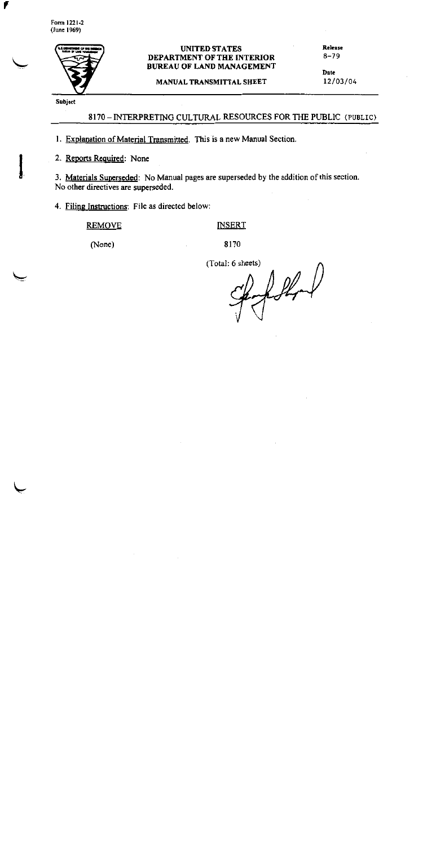Form 1221-2  $(June 1969)$ 

F



### **UNITED STATES** DEPARTMENT OF THE INTERIOR **BUREAU OF LAND MANAGEMENT**

MANUAL TRANSMITTAL SHEET

Release  $8 - 79$ 

Date 12/03/04

Subject

## 8170 - INTERPRETING CULTURAL RESOURCES FOR THE PUBLIC (PUBLIC)

1. Explanation of Material Transmitted. This is a new Manual Section.

2. Reports Required: None

3. Materials Superseded: No Manual pages are superseded by the addition of this section. No other directives are superseded.

4. Filing Instructions: File as directed below:

### **REMOVE**

# **INSERT**

(None)

8170

(Total: 6 sheets)

follow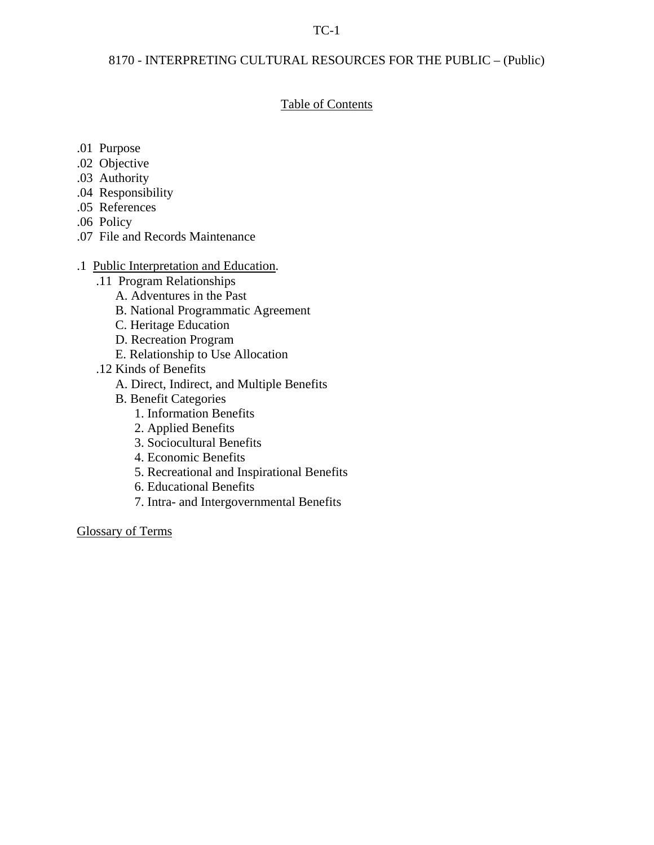# TC-1

# 8170 - INTERPRETING CULTURAL RESOURCES FOR THE PUBLIC – (Public)

### Table of Contents

- .01 Purpose
- .02 Objective
- .03 Authority
- .04 Responsibility
- .05 References
- .06 Policy
- .07 File and Records Maintenance
- .1 Public Interpretation and Education.
	- .11 Program Relationships
		- A. Adventures in the Past
		- B. National Programmatic Agreement
		- C. Heritage Education
		- D. Recreation Program
		- E. Relationship to Use Allocation
	- .12 Kinds of Benefits
		- A. Direct, Indirect, and Multiple Benefits
		- B. Benefit Categories
			- 1. Information Benefits
			- 2. Applied Benefits
			- 3. Sociocultural Benefits
			- 4. Economic Benefits
			- 5. Recreational and Inspirational Benefits
			- 6. Educational Benefits
			- 7. Intra- and Intergovernmental Benefits

Glossary of Terms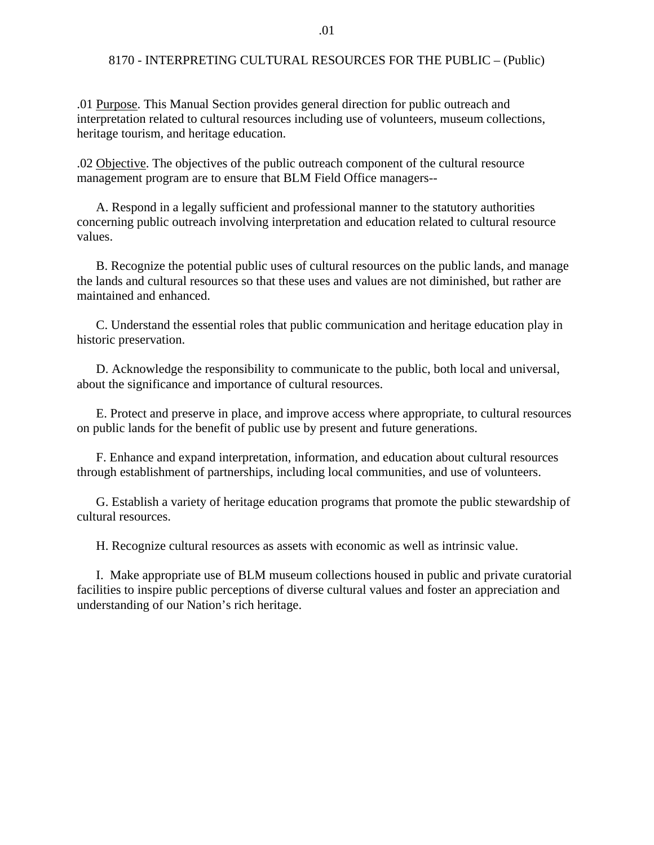.01 Purpose. This Manual Section provides general direction for public outreach and interpretation related to cultural resources including use of volunteers, museum collections, heritage tourism, and heritage education.

.02 Objective. The objectives of the public outreach component of the cultural resource management program are to ensure that BLM Field Office managers--

 A. Respond in a legally sufficient and professional manner to the statutory authorities concerning public outreach involving interpretation and education related to cultural resource values.

 B. Recognize the potential public uses of cultural resources on the public lands, and manage the lands and cultural resources so that these uses and values are not diminished, but rather are maintained and enhanced.

 C. Understand the essential roles that public communication and heritage education play in historic preservation.

 D. Acknowledge the responsibility to communicate to the public, both local and universal, about the significance and importance of cultural resources.

 E. Protect and preserve in place, and improve access where appropriate, to cultural resources on public lands for the benefit of public use by present and future generations.

 F. Enhance and expand interpretation, information, and education about cultural resources through establishment of partnerships, including local communities, and use of volunteers.

 G. Establish a variety of heritage education programs that promote the public stewardship of cultural resources.

H. Recognize cultural resources as assets with economic as well as intrinsic value.

 I. Make appropriate use of BLM museum collections housed in public and private curatorial facilities to inspire public perceptions of diverse cultural values and foster an appreciation and understanding of our Nation's rich heritage.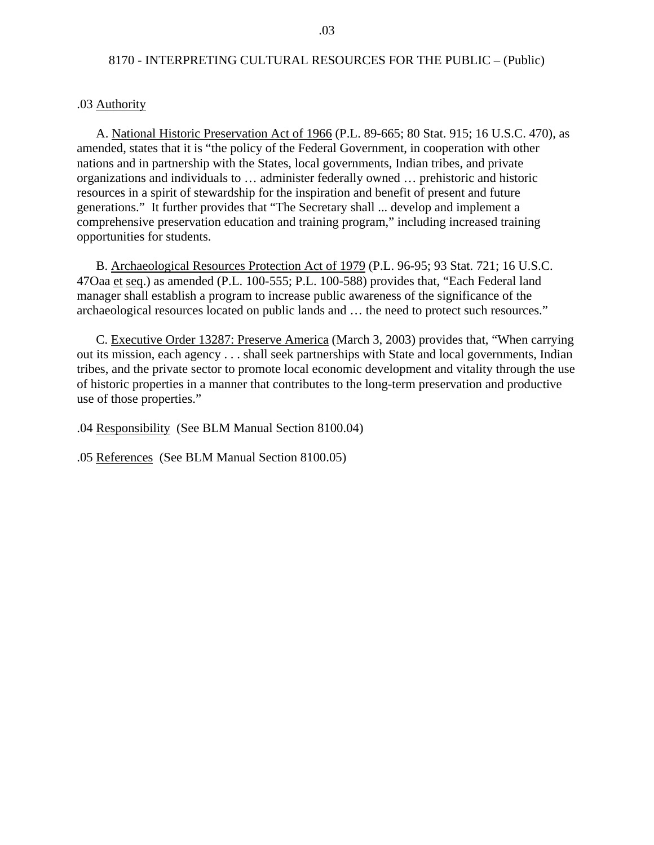#### .03 Authority

 A. National Historic Preservation Act of 1966 (P.L. 89-665; 80 Stat. 915; 16 U.S.C. 470), as amended, states that it is "the policy of the Federal Government, in cooperation with other nations and in partnership with the States, local governments, Indian tribes, and private organizations and individuals to … administer federally owned … prehistoric and historic resources in a spirit of stewardship for the inspiration and benefit of present and future generations." It further provides that "The Secretary shall ... develop and implement a comprehensive preservation education and training program," including increased training opportunities for students.

 B. Archaeological Resources Protection Act of 1979 (P.L. 96-95; 93 Stat. 721; 16 U.S.C. 47Oaa et seq.) as amended (P.L. 100-555; P.L. 100-588) provides that, "Each Federal land manager shall establish a program to increase public awareness of the significance of the archaeological resources located on public lands and … the need to protect such resources."

 C. Executive Order 13287: Preserve America (March 3, 2003) provides that, "When carrying out its mission, each agency . . . shall seek partnerships with State and local governments, Indian tribes, and the private sector to promote local economic development and vitality through the use of historic properties in a manner that contributes to the long-term preservation and productive use of those properties."

.04 Responsibility (See BLM Manual Section 8100.04)

.05 References (See BLM Manual Section 8100.05)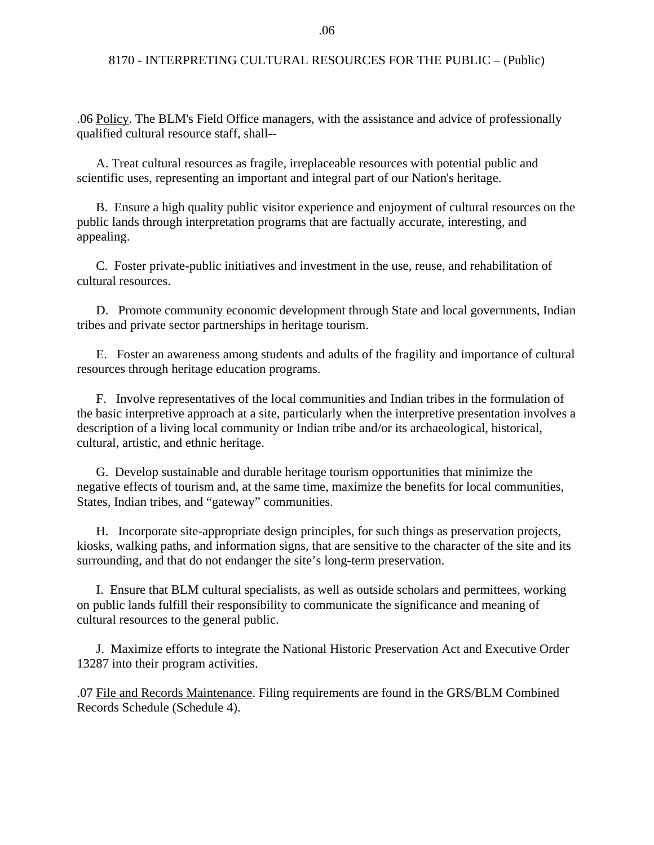.06 Policy. The BLM's Field Office managers, with the assistance and advice of professionally qualified cultural resource staff, shall--

 A. Treat cultural resources as fragile, irreplaceable resources with potential public and scientific uses, representing an important and integral part of our Nation's heritage.

 B. Ensure a high quality public visitor experience and enjoyment of cultural resources on the public lands through interpretation programs that are factually accurate, interesting, and appealing.

 C. Foster private-public initiatives and investment in the use, reuse, and rehabilitation of cultural resources.

 D. Promote community economic development through State and local governments, Indian tribes and private sector partnerships in heritage tourism.

 E. Foster an awareness among students and adults of the fragility and importance of cultural resources through heritage education programs.

 F. Involve representatives of the local communities and Indian tribes in the formulation of the basic interpretive approach at a site, particularly when the interpretive presentation involves a description of a living local community or Indian tribe and/or its archaeological, historical, cultural, artistic, and ethnic heritage.

 G. Develop sustainable and durable heritage tourism opportunities that minimize the negative effects of tourism and, at the same time, maximize the benefits for local communities, States, Indian tribes, and "gateway" communities.

 H. Incorporate site-appropriate design principles, for such things as preservation projects, kiosks, walking paths, and information signs, that are sensitive to the character of the site and its surrounding, and that do not endanger the site's long-term preservation.

 I. Ensure that BLM cultural specialists, as well as outside scholars and permittees, working on public lands fulfill their responsibility to communicate the significance and meaning of cultural resources to the general public.

 J. Maximize efforts to integrate the National Historic Preservation Act and Executive Order 13287 into their program activities.

.07 File and Records Maintenance. Filing requirements are found in the GRS/BLM Combined Records Schedule (Schedule 4).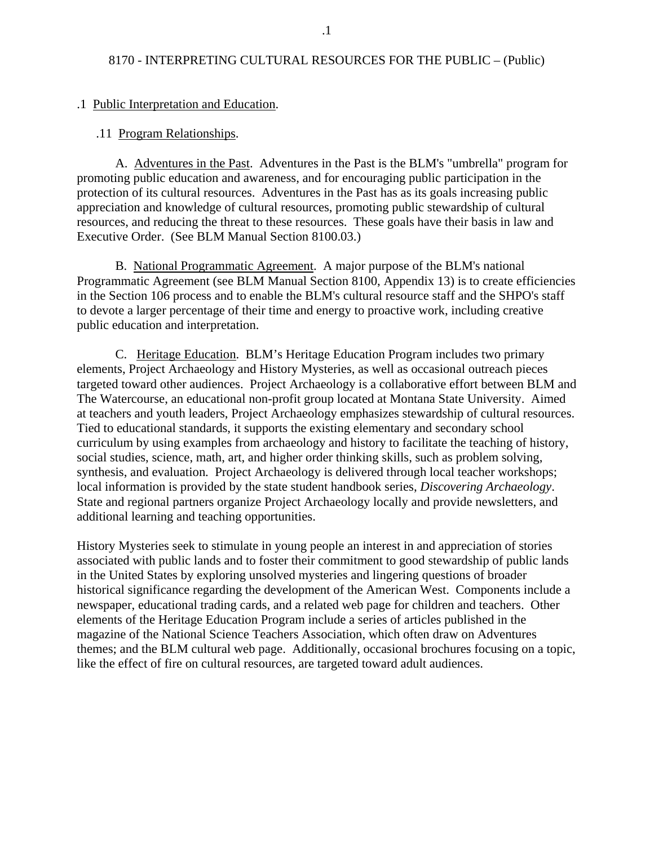#### .1 Public Interpretation and Education.

#### .11 Program Relationships.

 A. Adventures in the Past. Adventures in the Past is the BLM's "umbrella" program for promoting public education and awareness, and for encouraging public participation in the protection of its cultural resources. Adventures in the Past has as its goals increasing public appreciation and knowledge of cultural resources, promoting public stewardship of cultural resources, and reducing the threat to these resources. These goals have their basis in law and Executive Order. (See BLM Manual Section 8100.03.)

B. National Programmatic Agreement. A major purpose of the BLM's national Programmatic Agreement (see BLM Manual Section 8100, Appendix 13) is to create efficiencies in the Section 106 process and to enable the BLM's cultural resource staff and the SHPO's staff to devote a larger percentage of their time and energy to proactive work, including creative public education and interpretation.

 C. Heritage Education. BLM's Heritage Education Program includes two primary elements, Project Archaeology and History Mysteries, as well as occasional outreach pieces targeted toward other audiences. Project Archaeology is a collaborative effort between BLM and The Watercourse, an educational non-profit group located at Montana State University. Aimed at teachers and youth leaders, Project Archaeology emphasizes stewardship of cultural resources. Tied to educational standards, it supports the existing elementary and secondary school curriculum by using examples from archaeology and history to facilitate the teaching of history, social studies, science, math, art, and higher order thinking skills, such as problem solving, synthesis, and evaluation. Project Archaeology is delivered through local teacher workshops; local information is provided by the state student handbook series, *Discovering Archaeology*. State and regional partners organize Project Archaeology locally and provide newsletters, and additional learning and teaching opportunities.

History Mysteries seek to stimulate in young people an interest in and appreciation of stories associated with public lands and to foster their commitment to good stewardship of public lands in the United States by exploring unsolved mysteries and lingering questions of broader historical significance regarding the development of the American West. Components include a newspaper, educational trading cards, and a related web page for children and teachers. Other elements of the Heritage Education Program include a series of articles published in the magazine of the National Science Teachers Association, which often draw on Adventures themes; and the BLM cultural web page. Additionally, occasional brochures focusing on a topic, like the effect of fire on cultural resources, are targeted toward adult audiences.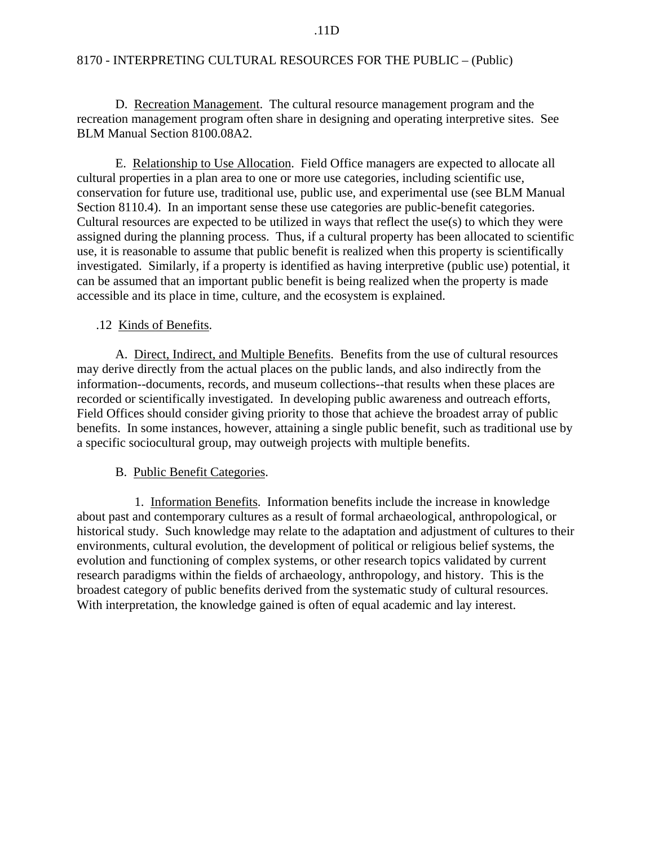D. Recreation Management. The cultural resource management program and the recreation management program often share in designing and operating interpretive sites. See BLM Manual Section 8100.08A2.

E. Relationship to Use Allocation. Field Office managers are expected to allocate all cultural properties in a plan area to one or more use categories, including scientific use, conservation for future use, traditional use, public use, and experimental use (see BLM Manual Section 8110.4). In an important sense these use categories are public-benefit categories. Cultural resources are expected to be utilized in ways that reflect the use(s) to which they were assigned during the planning process. Thus, if a cultural property has been allocated to scientific use, it is reasonable to assume that public benefit is realized when this property is scientifically investigated. Similarly, if a property is identified as having interpretive (public use) potential, it can be assumed that an important public benefit is being realized when the property is made accessible and its place in time, culture, and the ecosystem is explained.

## .12 Kinds of Benefits.

A. Direct, Indirect, and Multiple Benefits. Benefits from the use of cultural resources may derive directly from the actual places on the public lands, and also indirectly from the information--documents, records, and museum collections--that results when these places are recorded or scientifically investigated. In developing public awareness and outreach efforts, Field Offices should consider giving priority to those that achieve the broadest array of public benefits. In some instances, however, attaining a single public benefit, such as traditional use by a specific sociocultural group, may outweigh projects with multiple benefits.

# B. Public Benefit Categories.

1. Information Benefits. Information benefits include the increase in knowledge about past and contemporary cultures as a result of formal archaeological, anthropological, or historical study. Such knowledge may relate to the adaptation and adjustment of cultures to their environments, cultural evolution, the development of political or religious belief systems, the evolution and functioning of complex systems, or other research topics validated by current research paradigms within the fields of archaeology, anthropology, and history. This is the broadest category of public benefits derived from the systematic study of cultural resources. With interpretation, the knowledge gained is often of equal academic and lay interest.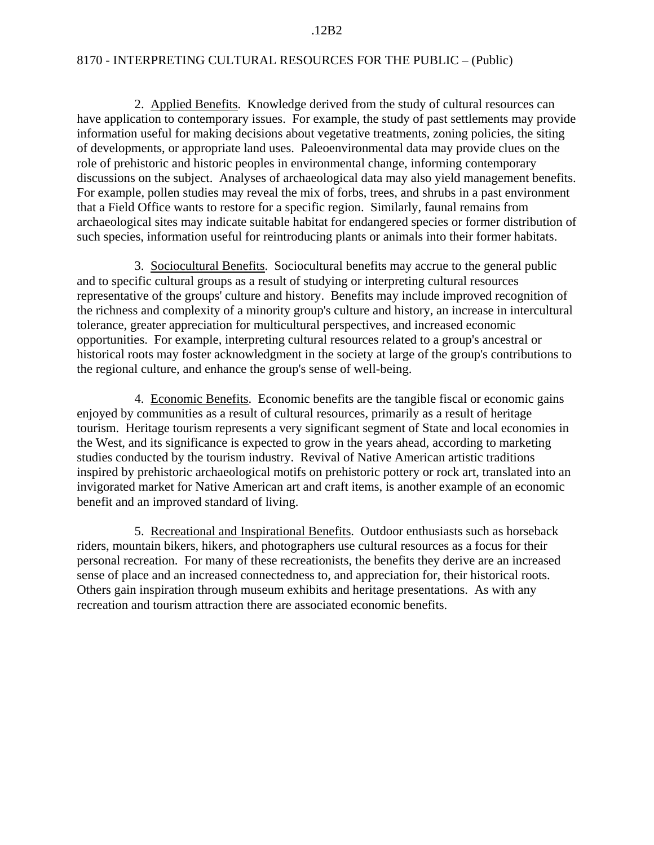#### .12B2

### 8170 - INTERPRETING CULTURAL RESOURCES FOR THE PUBLIC – (Public)

2. Applied Benefits. Knowledge derived from the study of cultural resources can have application to contemporary issues. For example, the study of past settlements may provide information useful for making decisions about vegetative treatments, zoning policies, the siting of developments, or appropriate land uses. Paleoenvironmental data may provide clues on the role of prehistoric and historic peoples in environmental change, informing contemporary discussions on the subject. Analyses of archaeological data may also yield management benefits. For example, pollen studies may reveal the mix of forbs, trees, and shrubs in a past environment that a Field Office wants to restore for a specific region. Similarly, faunal remains from archaeological sites may indicate suitable habitat for endangered species or former distribution of such species, information useful for reintroducing plants or animals into their former habitats.

3. Sociocultural Benefits. Sociocultural benefits may accrue to the general public and to specific cultural groups as a result of studying or interpreting cultural resources representative of the groups' culture and history. Benefits may include improved recognition of the richness and complexity of a minority group's culture and history, an increase in intercultural tolerance, greater appreciation for multicultural perspectives, and increased economic opportunities. For example, interpreting cultural resources related to a group's ancestral or historical roots may foster acknowledgment in the society at large of the group's contributions to the regional culture, and enhance the group's sense of well-being.

4. Economic Benefits. Economic benefits are the tangible fiscal or economic gains enjoyed by communities as a result of cultural resources, primarily as a result of heritage tourism. Heritage tourism represents a very significant segment of State and local economies in the West, and its significance is expected to grow in the years ahead, according to marketing studies conducted by the tourism industry. Revival of Native American artistic traditions inspired by prehistoric archaeological motifs on prehistoric pottery or rock art, translated into an invigorated market for Native American art and craft items, is another example of an economic benefit and an improved standard of living.

5. Recreational and Inspirational Benefits. Outdoor enthusiasts such as horseback riders, mountain bikers, hikers, and photographers use cultural resources as a focus for their personal recreation. For many of these recreationists, the benefits they derive are an increased sense of place and an increased connectedness to, and appreciation for, their historical roots. Others gain inspiration through museum exhibits and heritage presentations. As with any recreation and tourism attraction there are associated economic benefits.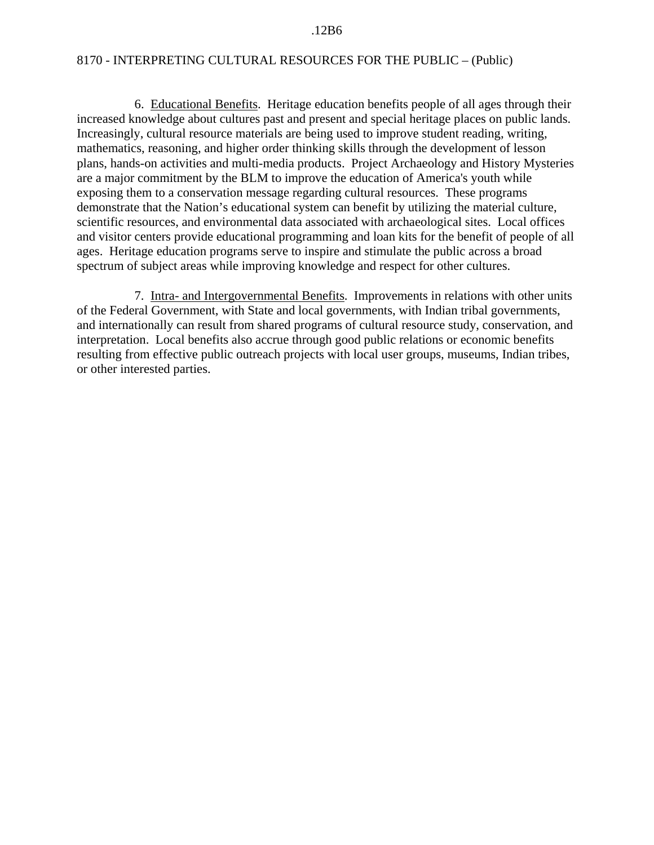#### .12B6

### 8170 - INTERPRETING CULTURAL RESOURCES FOR THE PUBLIC – (Public)

6. Educational Benefits. Heritage education benefits people of all ages through their increased knowledge about cultures past and present and special heritage places on public lands. Increasingly, cultural resource materials are being used to improve student reading, writing, mathematics, reasoning, and higher order thinking skills through the development of lesson plans, hands-on activities and multi-media products. Project Archaeology and History Mysteries are a major commitment by the BLM to improve the education of America's youth while exposing them to a conservation message regarding cultural resources. These programs demonstrate that the Nation's educational system can benefit by utilizing the material culture, scientific resources, and environmental data associated with archaeological sites. Local offices and visitor centers provide educational programming and loan kits for the benefit of people of all ages. Heritage education programs serve to inspire and stimulate the public across a broad spectrum of subject areas while improving knowledge and respect for other cultures.

7. Intra- and Intergovernmental Benefits. Improvements in relations with other units of the Federal Government, with State and local governments, with Indian tribal governments, and internationally can result from shared programs of cultural resource study, conservation, and interpretation. Local benefits also accrue through good public relations or economic benefits resulting from effective public outreach projects with local user groups, museums, Indian tribes, or other interested parties.